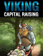

C

 $\overline{\mathbf{C}}$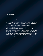Copyright © All rights reserved.

ABOUT YOUR RIGHTS: This eBook is intended for your personal use only. It does not include any other rights.

IMPORTANT LEGAL DISCLAIMER: This book is protected by international copyright law and may not be copied, reproduced, given away, or used to create derivative works without the publisher's expressed permission. The publisher retains full copyrights to this book.

The author has made every reasonable effort to be as accurate and complete as possible in the creation of this book and to ensure that the information provided is free from errors; however, the author/publisher/ reseller assumes no responsibility for errors, omissions, or contrary interpretation of the subject matter herein and does not warrant or represent at any time that the contents within are accurate due to the rapidly changing nature of the Internet.

Any perceived slights of specific persons, peoples, or organizations are unintentional.

The purpose of this book is to educate and there are no guarantees of income, sales or results implied. The publisher/author/reseller/distributor can therefore not be held accountable for any poor results you may attain when implementing the techniques or when following any guidelines set out for you in this book.

Any product, website, and company names mentioned in this report are the trademarks or copyright properties of their respective owners. The author/publisher/reseller/distributor are not associated or affiliated with them in any way. Nor does the referred product, website, and company names sponsor, endorse, or approve this product.

AFFILIATE/COMPENSATION DISCLAIMER: Unless otherwise expressly stated, you should assume that the links contained in this book may be affiliate links and either the author/publisher/reseller/distributor will earn commission if you click on them and buy the product/service mentioned in this book. However, the author/publisher/reseller/distributor disclaim any liability that may result from your involvement with any such websites/products. You should thoroughly research before buying mentioned products or services.

This constitutes the entire license agreement. Any disputes or terms not discussed in this agreement are at the sole discretion of the publisher.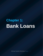# **Chapter 1: Bank Loans**

Viking Capital Raising Page 3 | 16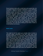Every business starts with a small team and a great idea, but not always extensive business experience. If you previously worked in a different industry or haven't worked in a small business before, you face a steep learning curve in order to bring your idea to life. Starting a business means finding staff, premises, suppliers, and so many other things that can only be secured with capital. In this book, you'll learn about the most popular options small businesses can use to raise capital and begin their work. Chapter one will look at loans, chapter two will look at investment opportunities, and chapter three will look at how you can raise capital from within your community. Let's start off by looking at the kinds of loans a small business can secure.

### **Bank Loans**

This might be the first option you consider when it comes to securing capital, particularly if you don't have much small business experience. It's a logical step, given that bank loans often have the lowest interest rates. The two most common types of business bank loans are fixed and flexible. Fixed loans have pre-determined payment schedules and interest rates, whereas with flexible loans, these factors are decided according to your business and financial needs. Fixed loans tend to have more widespread repayment schedules, and with either type of loan, the repayment term can be between one and fifteen years, depending on the loan amount. Interest rates on business bank loans tend to be between seven and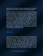twelve per cent, though this figure will depend on a variety of factors such as the loan amount and the financial climate.

However, it's often very difficult for new and small businesses to secure bank loans. Many banks have drastically reduced their small business loan approval rate, citing the high risk of failure as the reason. In order to qualify for a bank loan, your company will need great credit, revenue, profitability, cashflow and experience- if you have all that, you probably don't need a start-up loan. A good example of this situation is securing your loan. A secured loan requires you to offer "security"- an asset that the bank can seize if your company fails to repay as planned. Secured loans offer larger amounts and lower interest rates, but loans can only be secured by companies with property or substantial assets. In reality, bank loans are a rare choice for small businesses.

### **SBA Loans**

The SBA (Small Business Administration) is an independent agency of the U.S. government that offers a variety of services to small businesses. It does not offer loans, but works with commercial lending partners to offer loans to public and private organizations. The SBA vets its lenders and all loans must follow its requirements, making the process less risky for borrowers and lenders. SBA loans are only available to U.S. companies that do not have reasonable access to other funding opportunities. The SBA offers four kinds of loans;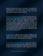general small business loans, microloans, real estate and equipment loans, and disaster loans. Each of these loans have specific uses and when applying for them, you must show what you plan to do with the money.

A **general small business loan** general small business loan is the most common type of SBA loan and has the widest range of uses. It falls into the 7(a) category of SBA loans and its uses include purchasing commercial property or equipment, paying for operational expenses, and refinancing debt. Businesses are eligible to apply for this loan if their net worth does not exceed \$15 million or they have an average net income greater than \$5 million over the last two years. The maximum amount that can be borrowed is \$5 million and there is no minimum amount. Interest rates are negotiated by the SBA and the lending partner.

A **microloan** is typically used to start or expand a new business, and it cannot be used to repay debt or purchase real estate. Interest rates for these loans tend to be between 8 and 13% with a maximum repayment term of six years.

A **real estate and equipment loan**, as the name suggests, can be used to purchase real estate or equipment. It can also be used to fund the construction, conversion, or renovation of existing commercial property. In order to qualify for this loan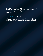your company must be on the SBA's list of eligible businesses, not have funds available from any other sources, and not be engaged or planning to engage in rental real estate investment.

A **disaster loan** is a low-interest loan provided to repair or replace items that have been damaged or destroyed in a declared natural disaster. Such items include real estate, business assets, personal property, machinery, equipment, and inventory.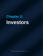## **Chapter 2: Investors**

Viking Capital Raising Page 8 | 16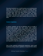Securing investment as a small business can simultaneously seem like it will be incredibly easy and incredibly difficult. Investors are individuals you can appeal to and impress with your great idea, rather than giant faceless banks. However, investors often have less money to spare than larger institutions. The best way to clinch investors is to know how they work- luckily for you, that's exactly what you're about to learn.

## **Venture Capitalists**

A venture capitalist can be an individual, but it is usually a professionally-managed firm that invests other people's money on their behalf. Venture capital firms pool money from a range of investors and invest in small companies that can prove they will provide a high return. Venture capitalists are not interested in companies that want to work on a small scale- they're looking to get in on the ground floor with companies that will grow to be industry titans. Investing in a small business is risky, so venture capitalists expect a high return, equity in the company, access to financial records and a say in large decisions. From their perspective, these things are required to make the investment worth their while.

Due to their extensive professional experience, some small businesses bring venture capitalists on board for their advice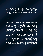as well as their investments. However, it can be a poor choice for those who want to maintain control of their business. The best way to grab the attention of a venture capitalist is to be referred to them by a financial professional, such as a banker or accountant.

## **Angel Investors**

Where a venture capitalist invests someone else's money, an angel investor uses their own. Angel investing has soared in popularity in recent years, as individuals have better access to educational resources and discover new alternatives to traditional financial options like savings accounts. Most angel investors are not incredibly wealthy. This might seem like a downside as they have less money to invest, but the upside is that you probably already know a lot of angel investors. Angel investors might be current or former colleagues, entrepreneurs, or people in your social circle who invest in their spare time. Another significant difference between venture capitalists and angel investors is that angels aren't entirely motivated by profit. They are more likely to be inspired by a great pitch and back a company because they want to see it succeed, rather than simply because they think they'll get a high return. Angel investors typically expect less control in the company than venture capitalists, instead looking for a share in the company they believe will be successful one day.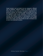Angel investors can be divided into two categories: affiliated and non-affiliated. Affiliated angels are people you already know, that you can reach out to through an appointment or personal meeting. Non-affiliated angels are people that have no connection to you or your business. The best ways to find non-affiliated angels include advertising in business papers, working with business brokers or intermediaries, and simply spreading the word through your social circles. If you already know some angels, they will probably be able to introduce you to even more potential investors.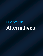# **Chapter 3: Alternatives**

Viking Capital Raising Page 12 | 16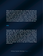When you have a business idea, your friends and family are going to be the first ones to know about it. They'll have spent months, or maybe even years, listen to you talk about your plans and watch you build your business from the ground up. Those closest to you may want to support your dreams, but it's important to find the balance between professional and personal. You want your business to succeed, but that doesn't mean sacrificing close relationships. In this chapter, you'll find a few tips for encouraging capital in a healthy and safe way.

### **Gifts**

Particularly when you're starting up, generous friends or relatives may offer you a small cash gift to help with those first few expenses. This can be great, as long as it's definitely a gift and not actually a loan. If your company becomes financially successful, you might find that people you believed were giving you gifts now expect their money to be repaid. The best way to avoid this is to clearly communicate to the other person that this is a gift when you receive the money- a step up from this is to have that communication in writing. It might be awkward, but it's a key part of keeping things professional.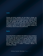### **Loans**

Friends and family members are less likely to charge you interest than any other financial source, so this can be a great way to raise money without added expenses. However, these loans will probably be smaller than those from banks or investors, and your personal spending may be under scrutiny while you're in debt to this other person. It's best to work with a business attorney or a peer-to-peer lending company so everything is above board and professional.

## **Equity**

If you have friends or relatives who believe in your company's mission, they may want to be a part of it. Like selling an equity to an investor, this will not work for people who want to retain full control of their company. It's also important to consider how working with this person as a business partner will affect your personal relationship. If you decide to sell equity to this person, make sure to involve a business attorney so everything is official.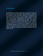### **Crowdfunding**

Crowdfunding has gained popularity in recent years, with sites like Kickstarter and IndieGoGo allowing billions of dollars to be raised by small businesses. When you crowdfund, your plan for the raised money is clearly visible to backers so they know exactly what's happening when they donate. You can use rewards-based crowdfunding and give your backers unique rewards in exchange for their donations, or use equitybased crowdfunding and sell small parts of the company. However,you do it, the process is formalized through the crowdfunding platform and it's clear that the money donated will not be repaid. If you're unsure about involving friends and family through other methods, crowdfunding might be the best option for you.